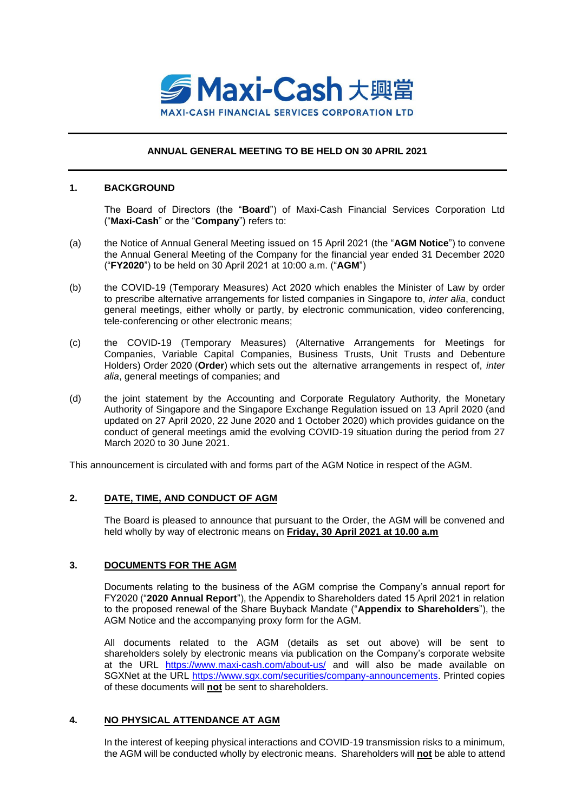

## **ANNUAL GENERAL MEETING TO BE HELD ON 30 APRIL 2021**

### **1. BACKGROUND**

The Board of Directors (the "**Board**") of Maxi-Cash Financial Services Corporation Ltd ("**Maxi-Cash**" or the "**Company**") refers to:

- (a) the Notice of Annual General Meeting issued on 15 April 2021 (the "**AGM Notice**") to convene the Annual General Meeting of the Company for the financial year ended 31 December 2020 ("**FY2020**") to be held on 30 April 2021 at 10:00 a.m. ("**AGM**")
- (b) the COVID-19 (Temporary Measures) Act 2020 which enables the Minister of Law by order to prescribe alternative arrangements for listed companies in Singapore to, *inter alia*, conduct general meetings, either wholly or partly, by electronic communication, video conferencing, tele-conferencing or other electronic means;
- (c) the COVID-19 (Temporary Measures) (Alternative Arrangements for Meetings for Companies, Variable Capital Companies, Business Trusts, Unit Trusts and Debenture Holders) Order 2020 (**Order**) which sets out the alternative arrangements in respect of, *inter alia*, general meetings of companies; and
- (d) the joint statement by the Accounting and Corporate Regulatory Authority, the Monetary Authority of Singapore and the Singapore Exchange Regulation issued on 13 April 2020 (and updated on 27 April 2020, 22 June 2020 and 1 October 2020) which provides guidance on the conduct of general meetings amid the evolving COVID-19 situation during the period from 27 March 2020 to 30 June 2021.

This announcement is circulated with and forms part of the AGM Notice in respect of the AGM.

## **2. DATE, TIME, AND CONDUCT OF AGM**

The Board is pleased to announce that pursuant to the Order, the AGM will be convened and held wholly by way of electronic means on **Friday, 30 April 2021 at 10.00 a.m**

## **3. DOCUMENTS FOR THE AGM**

Documents relating to the business of the AGM comprise the Company's annual report for FY2020 ("**2020 Annual Report**"), the Appendix to Shareholders dated 15 April 2021 in relation to the proposed renewal of the Share Buyback Mandate ("**Appendix to Shareholders**"), the AGM Notice and the accompanying proxy form for the AGM.

All documents related to the AGM (details as set out above) will be sent to shareholders solely by electronic means via publication on the Company's corporate website at the URL <https://www.maxi-cash.com/about-us/> and will also be made available on SGXNet at the URL [https://www.sgx.com/securities/company-announcements.](https://www.sgx.com/securities/company-announcements) Printed copies of these documents will **not** be sent to shareholders.

#### **4. NO PHYSICAL ATTENDANCE AT AGM**

In the interest of keeping physical interactions and COVID-19 transmission risks to a minimum, the AGM will be conducted wholly by electronic means. Shareholders will **not** be able to attend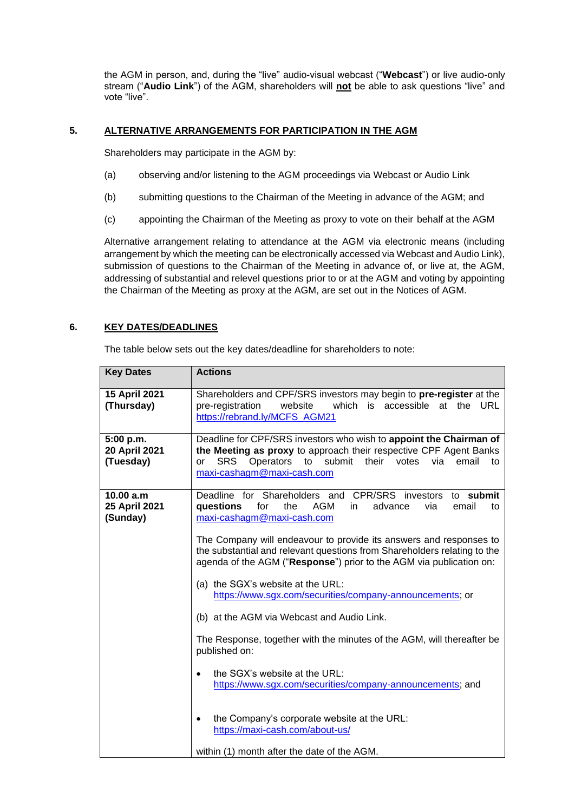the AGM in person, and, during the "live" audio-visual webcast ("**Webcast**") or live audio-only stream ("**Audio Link**") of the AGM, shareholders will **not** be able to ask questions "live" and vote "live".

# **5. ALTERNATIVE ARRANGEMENTS FOR PARTICIPATION IN THE AGM**

Shareholders may participate in the AGM by:

- (a) observing and/or listening to the AGM proceedings via Webcast or Audio Link
- (b) submitting questions to the Chairman of the Meeting in advance of the AGM; and
- (c) appointing the Chairman of the Meeting as proxy to vote on their behalf at the AGM

Alternative arrangement relating to attendance at the AGM via electronic means (including arrangement by which the meeting can be electronically accessed via Webcast and Audio Link), submission of questions to the Chairman of the Meeting in advance of, or live at, the AGM, addressing of substantial and relevel questions prior to or at the AGM and voting by appointing the Chairman of the Meeting as proxy at the AGM, are set out in the Notices of AGM.

## **6. KEY DATES/DEADLINES**

The table below sets out the key dates/deadline for shareholders to note:

| <b>Key Dates</b>                        | <b>Actions</b>                                                                                                                                                                                                                                                                                                                                                                                                                                                                                                                                                                                                                                                                                                                                                                                                                                                                                |
|-----------------------------------------|-----------------------------------------------------------------------------------------------------------------------------------------------------------------------------------------------------------------------------------------------------------------------------------------------------------------------------------------------------------------------------------------------------------------------------------------------------------------------------------------------------------------------------------------------------------------------------------------------------------------------------------------------------------------------------------------------------------------------------------------------------------------------------------------------------------------------------------------------------------------------------------------------|
| 15 April 2021<br>(Thursday)             | Shareholders and CPF/SRS investors may begin to pre-register at the<br>pre-registration<br>website<br>which is accessible<br>at the<br>URL<br>https://rebrand.ly/MCFS_AGM21                                                                                                                                                                                                                                                                                                                                                                                                                                                                                                                                                                                                                                                                                                                   |
| 5:00 p.m.<br>20 April 2021<br>(Tuesday) | Deadline for CPF/SRS investors who wish to appoint the Chairman of<br>the Meeting as proxy to approach their respective CPF Agent Banks<br>Operators<br>to submit<br>their<br><b>SRS</b><br>votes<br>email<br>via<br>to<br>or<br>maxi-cashagm@maxi-cash.com                                                                                                                                                                                                                                                                                                                                                                                                                                                                                                                                                                                                                                   |
| 10.00 a.m<br>25 April 2021<br>(Sunday)  | Deadline for Shareholders and CPR/SRS investors to submit<br>questions<br>for<br>the<br>AGM<br>email<br>advance<br>via<br>in.<br>to<br>maxi-cashagm@maxi-cash.com<br>The Company will endeavour to provide its answers and responses to<br>the substantial and relevant questions from Shareholders relating to the<br>agenda of the AGM ("Response") prior to the AGM via publication on:<br>(a) the SGX's website at the URL:<br>https://www.sgx.com/securities/company-announcements; or<br>(b) at the AGM via Webcast and Audio Link.<br>The Response, together with the minutes of the AGM, will thereafter be<br>published on:<br>the SGX's website at the URL:<br>$\bullet$<br>https://www.sgx.com/securities/company-announcements; and<br>the Company's corporate website at the URL:<br>$\bullet$<br>https://maxi-cash.com/about-us/<br>within (1) month after the date of the AGM. |